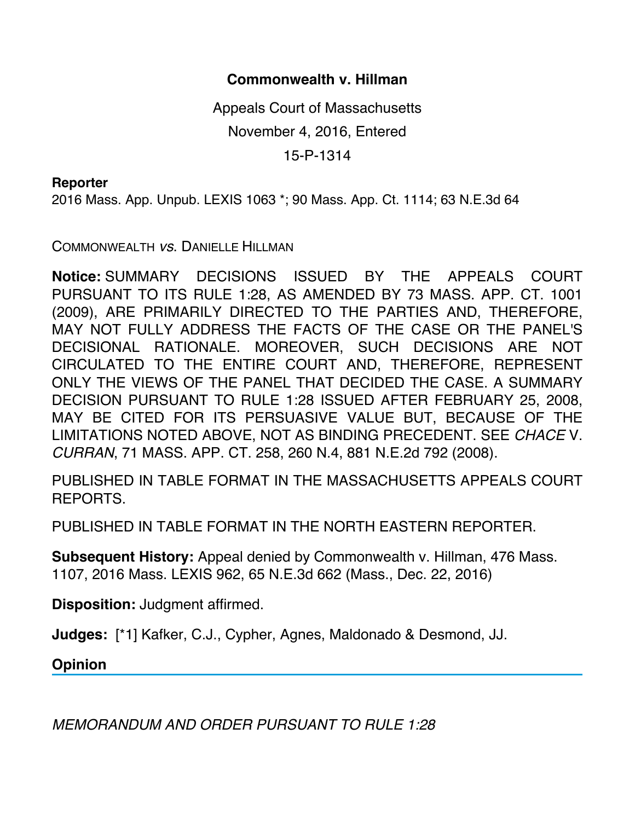## **Commonwealth v. Hillman**

Appeals Court of Massachusetts November 4, 2016, Entered

15-P-1314

## **Reporter**

2016 Mass. App. Unpub. LEXIS 1063 \*; 90 Mass. App. Ct. 1114; 63 N.E.3d 64

COMMONWEALTH *vs*. DANIELLE HILLMAN

**Notice:** SUMMARY DECISIONS ISSUED BY THE APPEALS COURT PURSUANT TO ITS RULE 1:28, AS AMENDED BY 73 MASS. APP. CT. 1001 (2009), ARE PRIMARILY DIRECTED TO THE PARTIES AND, THEREFORE, MAY NOT FULLY ADDRESS THE FACTS OF THE CASE OR THE PANEL'S DECISIONAL RATIONALE. MOREOVER, SUCH DECISIONS ARE NOT CIRCULATED TO THE ENTIRE COURT AND, THEREFORE, REPRESENT ONLY THE VIEWS OF THE PANEL THAT DECIDED THE CASE. A SUMMARY DECISION PURSUANT TO RULE 1:28 ISSUED AFTER FEBRUARY 25, 2008, MAY BE CITED FOR ITS PERSUASIVE VALUE BUT, BECAUSE OF THE LIMITATIONS NOTED ABOVE, NOT AS BINDING PRECEDENT. SEE *CHACE* V. *CURRAN*, 71 MASS. APP. CT. 258, 260 N.4, 881 N.E.2d 792 (2008).

PUBLISHED IN TABLE FORMAT IN THE MASSACHUSETTS APPEALS COURT REPORTS.

PUBLISHED IN TABLE FORMAT IN THE NORTH EASTERN REPORTER.

**Subsequent History:** Appeal denied by Commonwealth v. Hillman, 476 Mass. 1107, 2016 Mass. LEXIS 962, 65 N.E.3d 662 (Mass., Dec. 22, 2016)

**Disposition:** Judgment affirmed.

**Judges:** [\*1] Kafker, C.J., Cypher, Agnes, Maldonado & Desmond, JJ.

**Opinion**

*MEMORANDUM AND ORDER PURSUANT TO RULE 1:28*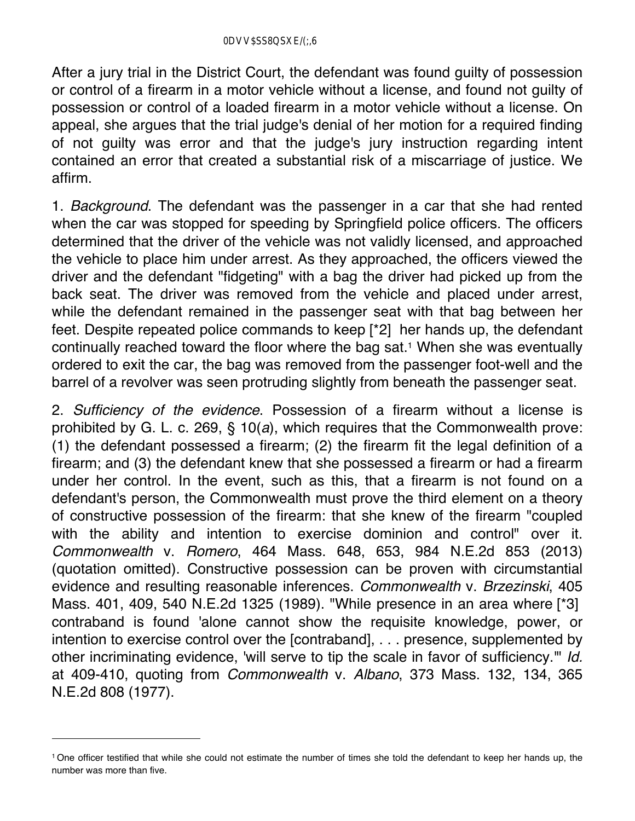After a jury trial in the District Court, the defendant was found guilty of possession or control of a firearm in a motor vehicle without a license, and found not guilty of possession or control of a loaded firearm in a motor vehicle without a license. On appeal, she argues that the trial judge's denial of her motion for a required finding of not guilty was error and that the judge's jury instruction regarding intent contained an error that created a substantial risk of a miscarriage of justice. We affirm.

1. *Background*. The defendant was the passenger in a car that she had rented when the car was stopped for speeding by Springfield police officers. The officers determined that the driver of the vehicle was not validly licensed, and approached the vehicle to place him under arrest. As they approached, the officers viewed the driver and the defendant "fidgeting" with a bag the driver had picked up from the back seat. The driver was removed from the vehicle and placed under arrest, while the defendant remained in the passenger seat with that bag between her feet. Despite repeated police commands to keep [\*2] her hands up, the defendant continually reached toward the floor where the bag sat.<sup>1</sup> When she was eventually ordered to exit the car, the bag was removed from the passenger foot-well and the barrel of a revolver was seen protruding slightly from beneath the passenger seat.

2. *Sufficiency of the evidence*. Possession of a firearm without a license is prohibited by G. L. c. 269, § 10(*a*), which requires that the Commonwealth prove: (1) the defendant possessed a firearm; (2) the firearm fit the legal definition of a firearm; and (3) the defendant knew that she possessed a firearm or had a firearm under her control. In the event, such as this, that a firearm is not found on a defendant's person, the Commonwealth must prove the third element on a theory of constructive possession of the firearm: that she knew of the firearm "coupled with the ability and intention to exercise dominion and control" over it. *Commonwealth* v. *Romero*, 464 Mass. 648, 653, 984 N.E.2d 853 (2013) (quotation omitted). Constructive possession can be proven with circumstantial evidence and resulting reasonable inferences. *Commonwealth* v. *Brzezinski*, 405 Mass. 401, 409, 540 N.E.2d 1325 (1989). "While presence in an area where [\*3] contraband is found 'alone cannot show the requisite knowledge, power, or intention to exercise control over the [contraband], . . . presence, supplemented by other incriminating evidence, 'will serve to tip the scale in favor of sufficiency.'" *Id.* at 409-410, quoting from *Commonwealth* v. *Albano*, 373 Mass. 132, 134, 365 N.E.2d 808 (1977).

<sup>1</sup> One officer testified that while she could not estimate the number of times she told the defendant to keep her hands up, the number was more than five.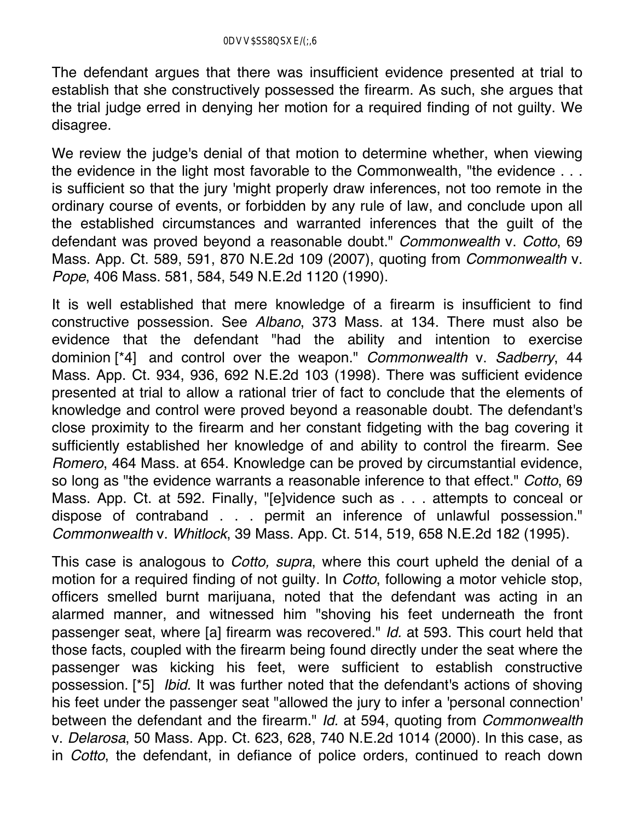The defendant argues that there was insufficient evidence presented at trial to establish that she constructively possessed the firearm. As such, she argues that the trial judge erred in denying her motion for a required finding of not guilty. We disagree.

We review the judge's denial of that motion to determine whether, when viewing the evidence in the light most favorable to the Commonwealth, "the evidence . . . is sufficient so that the jury 'might properly draw inferences, not too remote in the ordinary course of events, or forbidden by any rule of law, and conclude upon all the established circumstances and warranted inferences that the guilt of the defendant was proved beyond a reasonable doubt." *Commonwealth* v. *Cotto*, 69 Mass. App. Ct. 589, 591, 870 N.E.2d 109 (2007), quoting from *Commonwealth* v. *Pope*, 406 Mass. 581, 584, 549 N.E.2d 1120 (1990).

It is well established that mere knowledge of a firearm is insufficient to find constructive possession. See *Albano*, 373 Mass. at 134. There must also be evidence that the defendant "had the ability and intention to exercise dominion [\*4] and control over the weapon." *Commonwealth* v. *Sadberry*, 44 Mass. App. Ct. 934, 936, 692 N.E.2d 103 (1998). There was sufficient evidence presented at trial to allow a rational trier of fact to conclude that the elements of knowledge and control were proved beyond a reasonable doubt. The defendant's close proximity to the firearm and her constant fidgeting with the bag covering it sufficiently established her knowledge of and ability to control the firearm. See *Romero*, 464 Mass. at 654. Knowledge can be proved by circumstantial evidence, so long as "the evidence warrants a reasonable inference to that effect." *Cotto*, 69 Mass. App. Ct. at 592. Finally, "[e]vidence such as . . . attempts to conceal or dispose of contraband . . . permit an inference of unlawful possession." *Commonwealth* v. *Whitlock*, 39 Mass. App. Ct. 514, 519, 658 N.E.2d 182 (1995).

This case is analogous to *Cotto, supra*, where this court upheld the denial of a motion for a required finding of not guilty. In *Cotto*, following a motor vehicle stop, officers smelled burnt marijuana, noted that the defendant was acting in an alarmed manner, and witnessed him "shoving his feet underneath the front passenger seat, where [a] firearm was recovered." *Id.* at 593. This court held that those facts, coupled with the firearm being found directly under the seat where the passenger was kicking his feet, were sufficient to establish constructive possession. [\*5] *Ibid.* It was further noted that the defendant's actions of shoving his feet under the passenger seat "allowed the jury to infer a 'personal connection' between the defendant and the firearm." *Id.* at 594, quoting from *Commonwealth* v. *Delarosa*, 50 Mass. App. Ct. 623, 628, 740 N.E.2d 1014 (2000). In this case, as in *Cotto*, the defendant, in defiance of police orders, continued to reach down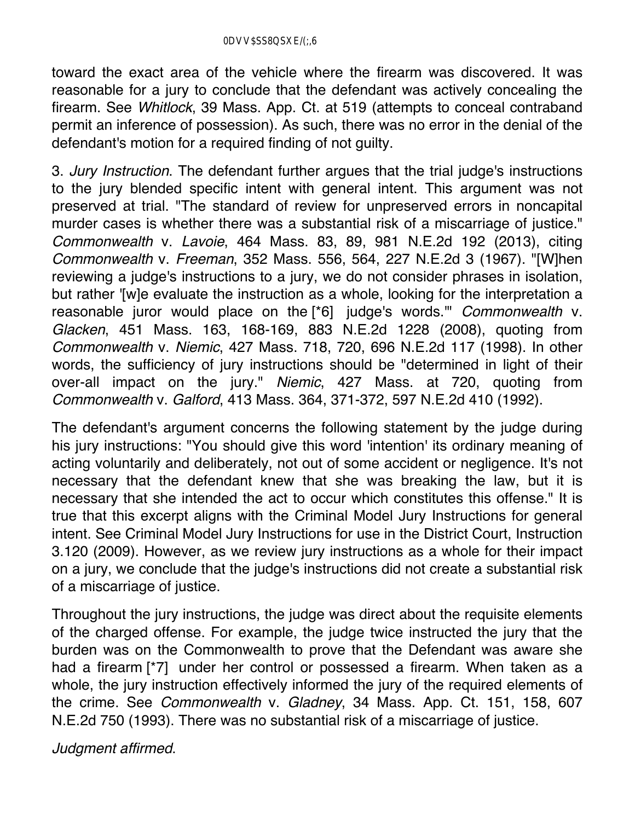toward the exact area of the vehicle where the firearm was discovered. It was reasonable for a jury to conclude that the defendant was actively concealing the firearm. See *Whitlock*, 39 Mass. App. Ct. at 519 (attempts to conceal contraband permit an inference of possession). As such, there was no error in the denial of the defendant's motion for a required finding of not guilty.

3. *Jury Instruction*. The defendant further argues that the trial judge's instructions to the jury blended specific intent with general intent. This argument was not preserved at trial. "The standard of review for unpreserved errors in noncapital murder cases is whether there was a substantial risk of a miscarriage of justice." *Commonwealth* v. *Lavoie*, 464 Mass. 83, 89, 981 N.E.2d 192 (2013), citing *Commonwealth* v. *Freeman*, 352 Mass. 556, 564, 227 N.E.2d 3 (1967). "[W]hen reviewing a judge's instructions to a jury, we do not consider phrases in isolation, but rather '[w]e evaluate the instruction as a whole, looking for the interpretation a reasonable juror would place on the [\*6] judge's words.'" *Commonwealth* v. *Glacken*, 451 Mass. 163, 168-169, 883 N.E.2d 1228 (2008), quoting from *Commonwealth* v. *Niemic*, 427 Mass. 718, 720, 696 N.E.2d 117 (1998). In other words, the sufficiency of jury instructions should be "determined in light of their over-all impact on the jury." *Niemic*, 427 Mass. at 720, quoting from *Commonwealth* v. *Galford*, 413 Mass. 364, 371-372, 597 N.E.2d 410 (1992).

The defendant's argument concerns the following statement by the judge during his jury instructions: "You should give this word 'intention' its ordinary meaning of acting voluntarily and deliberately, not out of some accident or negligence. It's not necessary that the defendant knew that she was breaking the law, but it is necessary that she intended the act to occur which constitutes this offense." It is true that this excerpt aligns with the Criminal Model Jury Instructions for general intent. See Criminal Model Jury Instructions for use in the District Court, Instruction 3.120 (2009). However, as we review jury instructions as a whole for their impact on a jury, we conclude that the judge's instructions did not create a substantial risk of a miscarriage of justice.

Throughout the jury instructions, the judge was direct about the requisite elements of the charged offense. For example, the judge twice instructed the jury that the burden was on the Commonwealth to prove that the Defendant was aware she had a firearm [\*7] under her control or possessed a firearm. When taken as a whole, the jury instruction effectively informed the jury of the required elements of the crime. See *Commonwealth* v. *Gladney*, 34 Mass. App. Ct. 151, 158, 607 N.E.2d 750 (1993). There was no substantial risk of a miscarriage of justice.

*Judgment affirmed*.